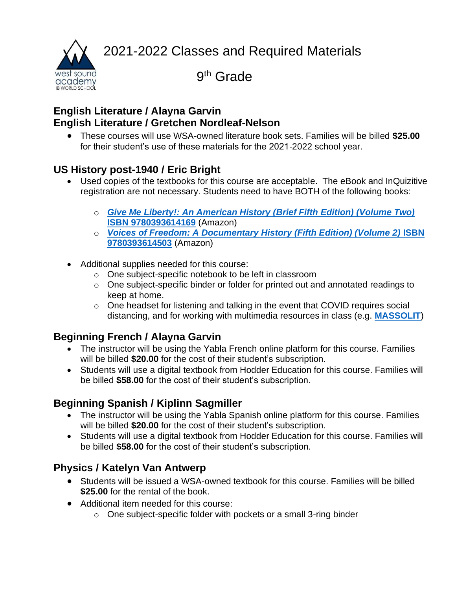2021-2022 Classes and Required Materials



 9 9<sup>th</sup> Grade

#### **English Literature / Alayna Garvin English Literature / Gretchen Nordleaf-Nelson**

• These courses will use WSA-owned literature book sets. Families will be billed **\$25.00** for their student's use of these materials for the 2021-2022 school year.

### **US History post-1940 / Eric Bright**

- Used copies of the textbooks for this course are acceptable. The eBook and InQuizitive registration are not necessary. Students need to have BOTH of the following books:
	- o *[Give Me Liberty!: An American History \(Brief Fifth Edition\) \(Volume Two\)](https://smile.amazon.com/gp/offer-listing/0393614166/ref=olp_f_used?ie=UTF8&f_new=true)*  **[ISBN 9780393614169](https://smile.amazon.com/gp/offer-listing/0393614166/ref=olp_f_used?ie=UTF8&f_new=true)** (Amazon)
	- o *[Voices of Freedom: A Documentary History \(Fifth Edition\) \(Volume 2\)](https://smile.amazon.com/gp/offer-listing/0393614506/ref=dp_olp_new?ie=UTF8&condition=new)* **ISBN [9780393614503](https://smile.amazon.com/gp/offer-listing/0393614506/ref=dp_olp_new?ie=UTF8&condition=new)** (Amazon)
- Additional supplies needed for this course:
	- o One subject-specific notebook to be left in classroom
	- o One subject-specific binder or folder for printed out and annotated readings to keep at home.
	- o One headset for listening and talking in the event that COVID requires social distancing, and for working with multimedia resources in class (e.g. **[MASSOLIT](https://massolit.io/)**)

# **Beginning French / Alayna Garvin**

- The instructor will be using the Yabla French online platform for this course. Families will be billed **\$20.00** for the cost of their student's subscription.
- Students will use a digital textbook from Hodder Education for this course. Families will be billed **\$58.00** for the cost of their student's subscription.

## **Beginning Spanish / Kiplinn Sagmiller**

- The instructor will be using the Yabla Spanish online platform for this course. Families will be billed **\$20.00** for the cost of their student's subscription.
- Students will use a digital textbook from Hodder Education for this course. Families will be billed **\$58.00** for the cost of their student's subscription.

## **Physics / Katelyn Van Antwerp**

- Students will be issued a WSA-owned textbook for this course. Families will be billed **\$25.00** for the rental of the book.
- Additional item needed for this course:
	- $\circ$  One subject-specific folder with pockets or a small 3-ring binder